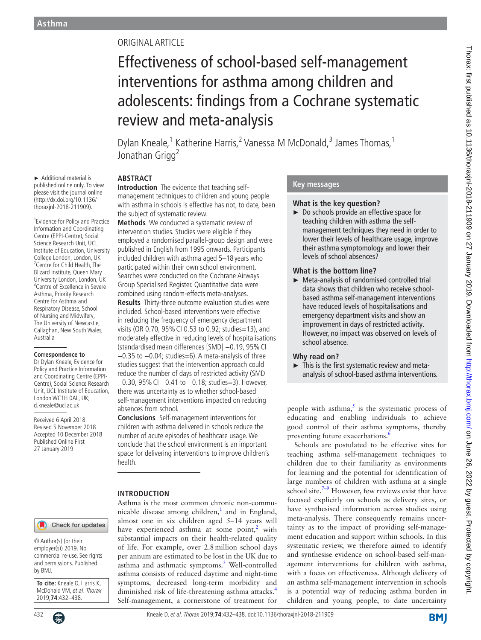► Additional material is published online only. To view please visit the journal online (http://dx.doi.org/10.1136/ thoraxjnl-2018-211909).

Australia

**Correspondence to** Dr Dylan Kneale, Evidence for Policy and Practice Information and Coordinating Centre (EPPI-Centre), Social Science Research Unit, UCL Institute of Education, London WC1H 0AL, UK; d.kneale@ucl.ac.uk Received 6 April 2018 Revised 5 November 2018 Accepted 10 December 2018 Published Online First 27 January 2019

1 Evidence for Policy and Practice Information and Coordinating Centre (EPPI-Centre), Social Science Research Unit, UCL Institute of Education, University College London, London, UK <sup>2</sup> <sup>2</sup> Centre for Child Health, The Blizard Institute, Queen Mary University London, London, UK <sup>3</sup> <sup>3</sup>Centre of Excellence in Severe Asthma, Priority Research Centre for Asthma and Respiratory Disease, School of Nursing and Midwifery, The University of Newcastle, Callaghan, New South Wales,

## ORIGINAL ARTICLE

# Effectiveness of school-based self-management interventions for asthma among children and adolescents: findings from a Cochrane systematic review and meta-analysis

Dylan Kneale,<sup>1</sup> Katherine Harris,<sup>2</sup> Vanessa M McDonald,<sup>3</sup> James Thomas,<sup>1</sup> Jonathan Grigg<sup>2</sup>

## **Abstract**

**Introduction** The evidence that teaching selfmanagement techniques to children and young people with asthma in schools is effective has not, to date, been the subject of systematic review.

**Methods** We conducted a systematic review of intervention studies. Studies were eligible if they employed a randomised parallel-group design and were published in English from 1995 onwards. Participants included children with asthma aged 5–18 years who participated within their own school environment. Searches were conducted on the Cochrane Airways Group Specialised Register. Quantitative data were combined using random-effects meta-analyses.

**Results** Thirty-three outcome evaluation studies were included. School-based interventions were effective in reducing the frequency of emergency department visits (OR 0.70, 95% CI 0.53 to 0.92; studies=13), and moderately effective in reducing levels of hospitalisations (standardised mean differences [SMD] −0.19, 95% CI −0.35 to −0.04; studies=6). A meta-analysis of three

studies suggest that the intervention approach could reduce the number of days of restricted activity (SMD −0.30, 95% CI −0.41 to −0.18; studies=3). However, there was uncertainty as to whether school-based self-management interventions impacted on reducing absences from school.

**Conclusions** Self-management interventions for children with asthma delivered in schools reduce the number of acute episodes of healthcare usage. We conclude that the school environment is an important space for delivering interventions to improve children's health.

## **Introduction**

Asthma is the most common chronic non-commu-nicable disease among children,<sup>[1](#page-6-0)</sup> and in England, almost one in six children aged 5–14 years will have experienced asthma at some point,<sup>[2](#page-6-1)</sup> with substantial impacts on their health-related quality of life. For example, over 2.8million school days per annum are estimated to be lost in the UK due to asthma and asthmatic symptoms.<sup>3</sup> Well-controlled asthma consists of reduced daytime and night-time symptoms, decreased long-term morbidity and diminished risk of life-threatening asthma attacks.<sup>[4](#page-6-3)</sup> Self-management, a cornerstone of treatment for

## **Key messages**

#### **What is the key question?**

► Do schools provide an effective space for teaching children with asthma the selfmanagement techniques they need in order to lower their levels of healthcare usage, improve their asthma symptomology and lower their levels of school absences?

## **What is the bottom line?**

► Meta-analysis of randomised controlled trial data shows that children who receive schoolbased asthma self-management interventions have reduced levels of hospitalisations and emergency department visits and show an improvement in days of restricted activity. However, no impact was observed on levels of school absence.

## **Why read on?**

► This is the first systematic review and metaanalysis of school-based asthma interventions.

people with asthma, $\frac{s}{s}$  is the systematic process of educating and enabling individuals to achieve good control of their asthma symptoms, thereby preventing future exacerbations.<sup>[6](#page-6-5)</sup>

Schools are postulated to be effective sites for teaching asthma self-management techniques to children due to their familiarity as environments for learning and the potential for identification of large numbers of children with asthma at a single school site. $7-9$  However, few reviews exist that have focused explicitly on schools as delivery sites, or have synthesised information across studies using meta-analysis. There consequently remains uncertainty as to the impact of providing self-management education and support within schools. In this systematic review, we therefore aimed to identify and synthesise evidence on school-based self-management interventions for children with asthma, with a focus on effectiveness. Although delivery of an asthma self-management intervention in schools is a potential way of reducing asthma burden in children and young people, to date uncertainty

## Check for updates

#### © Author(s) (or their employer(s)) 2019. No commercial re-use. See rights and permissions. Published by BMJ.

**To cite:** Kneale D, Harris K, McDonald VM, et al. Thorax 2019;**74**:432–438.

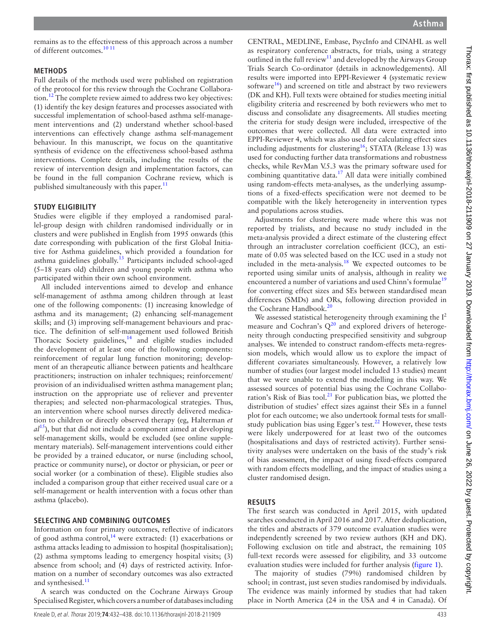remains as to the effectiveness of this approach across a number of different outcomes.<sup>[10 11](#page-6-7)</sup>

#### **Methods**

Full details of the methods used were published on registration of the protocol for this review through the Cochrane Collaboration.<sup>12</sup> The complete review aimed to address two key objectives: (1) identify the key design features and processes associated with successful implementation of school-based asthma self-management interventions and (2) understand whether school-based interventions can effectively change asthma self-management behaviour. In this manuscript, we focus on the quantitative synthesis of evidence on the effectiveness school-based asthma interventions. Complete details, including the results of the review of intervention design and implementation factors, can be found in the full companion Cochrane review, which is published simultaneously with this paper.<sup>[11](#page-6-9)</sup>

#### **Study eligibility**

Studies were eligible if they employed a randomised parallel-group design with children randomised individually or in clusters and were published in English from 1995 onwards (this date corresponding with publication of the first Global Initiative for Asthma guidelines, which provided a foundation for asthma guidelines globally.<sup>13</sup> Participants included school-aged (5–18 years old) children and young people with asthma who participated within their own school environment.

All included interventions aimed to develop and enhance self-management of asthma among children through at least one of the following components: (1) increasing knowledge of asthma and its management; (2) enhancing self-management skills; and (3) improving self-management behaviours and practice. The definition of self-management used followed British Thoracic Society guidelines, $14$  and eligible studies included the development of at least one of the following components: reinforcement of regular lung function monitoring; development of an therapeutic alliance between patients and healthcare practitioners; instruction on inhaler techniques; reinforcement/ provision of an individualised written asthma management plan; instruction on the appropriate use of reliever and preventer therapies; and selected non-pharmacological strategies. Thus, an intervention where school nurses directly delivered medication to children or directly observed therapy (eg, Halterman *et al*[15\)](#page-6-12), but that did not include a component aimed at developing self-management skills, would be excluded (see online [supple](https://dx.doi.org/10.1136/thoraxjnl-2018-211909)[mentary materials](https://dx.doi.org/10.1136/thoraxjnl-2018-211909)). Self-management interventions could either be provided by a trained educator, or nurse (including school, practice or community nurse), or doctor or physician, or peer or social worker (or a combination of these). Eligible studies also included a comparison group that either received usual care or a self-management or health intervention with a focus other than asthma (placebo).

#### **Selecting and combining outcomes**

Information on four primary outcomes, reflective of indicators of good asthma control,<sup>[14](#page-6-11)</sup> were extracted: (1) exacerbations or asthma attacks leading to admission to hospital (hospitalisation); (2) asthma symptoms leading to emergency hospital visits; (3) absence from school; and (4) days of restricted activity. Information on a number of secondary outcomes was also extracted and synthesised.<sup>[11](#page-6-9)</sup>

A search was conducted on the Cochrane Airways Group Specialised Register, which covers a number of databases including

CENTRAL, MEDLINE, Embase, PsycInfo and CINAHL as well as respiratory conference abstracts, for trials, using a strategy outlined in the full review<sup>11</sup> and developed by the Airways Group Trials Search Co-ordinator (details in acknowledgements). All results were imported into EPPI-Reviewer 4 (systematic review software $16$ ) and screened on title and abstract by two reviewers (DK and KH). Full texts were obtained for studies meeting initial eligibility criteria and rescreened by both reviewers who met to discuss and consolidate any disagreements. All studies meeting the criteria for study design were included, irrespective of the outcomes that were collected. All data were extracted into EPPI-Reviewer 4, which was also used for calculating effect sizes including adjustments for clustering<sup>[16](#page-6-13)</sup>; STATA (Release 13) was used for conducting further data transformations and robustness checks, while RevMan V.5.3 was the primary software used for combining quantitative data.<sup>17</sup> All data were initially combined using random-effects meta-analyses, as the underlying assumptions of a fixed-effects specification were not deemed to be compatible with the likely heterogeneity in intervention types and populations across studies.

Adjustments for clustering were made where this was not reported by trialists, and because no study included in the meta-analysis provided a direct estimate of the clustering effect through an intracluster correlation coefficient (ICC), an estimate of 0.05 was selected based on the ICC used in a study not included in the meta-analysis.[18](#page-6-15) We expected outcomes to be reported using similar units of analysis, although in reality we encountered a number of variations and used Chinn's formulae<sup>[19](#page-6-16)</sup> for converting effect sizes and SEs between standardised mean differences (SMDs) and ORs, following direction provided in the Cochrane Handbook.<sup>[20](#page-6-17)</sup>

We assessed statistical heterogeneity through examining the  $I^2$ measure and Cochran's  $Q^{20}$  $Q^{20}$  $Q^{20}$  and explored drivers of heterogeneity through conducting prespecified sensitivity and subgroup analyses. We intended to construct random-effects meta-regression models, which would allow us to explore the impact of different covariates simultaneously. However, a relatively low number of studies (our largest model included 13 studies) meant that we were unable to extend the modelling in this way. We assessed sources of potential bias using the Cochrane Collaboration's Risk of Bias tool. $^{21}$  For publication bias, we plotted the distribution of studies' effect sizes against their SEs in a funnel plot for each outcome; we also undertook formal tests for smallstudy publication bias using Egger's test.<sup>22</sup> However, these tests were likely underpowered for at least two of the outcomes (hospitalisations and days of restricted activity). Further sensitivity analyses were undertaken on the basis of the study's risk of bias assessment, the impact of using fixed-effects compared with random effects modelling, and the impact of studies using a cluster randomised design.

#### **Results**

The first search was conducted in April 2015, with updated searches conducted in April 2016 and 2017. After deduplication, the titles and abstracts of 379 outcome evaluation studies were independently screened by two review authors (KH and DK). Following exclusion on title and abstract, the remaining 105 full-text records were assessed for eligibility, and 33 outcome evaluation studies were included for further analysis [\(figure](#page-2-0) 1).

The majority of studies (79%) randomised children by school; in contrast, just seven studies randomised by individuals. The evidence was mainly informed by studies that had taken place in North America (24 in the USA and 4 in Canada). Of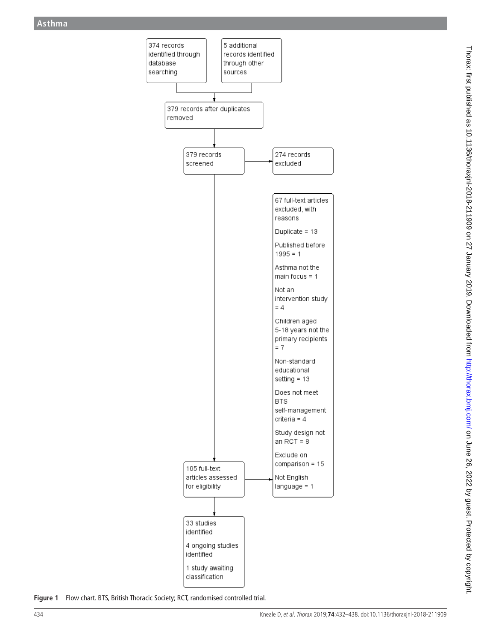

<span id="page-2-0"></span>**Figure 1** Flow chart. BTS, British Thoracic Society; RCT, randomised controlled trial.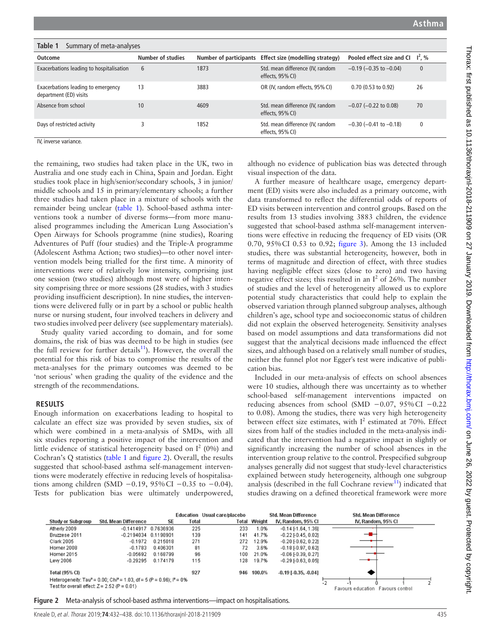| Table 1<br>Summary of meta-analyses                          |                   |      |                                                         |                                     |              |  |  |
|--------------------------------------------------------------|-------------------|------|---------------------------------------------------------|-------------------------------------|--------------|--|--|
| Outcome                                                      | Number of studies |      | Number of participants Effect size (modelling strategy) | Pooled effect size and Cl $I^2$ , % |              |  |  |
| Exacerbations leading to hospitalisation                     | 6                 | 1873 | Std. mean difference (IV, random<br>effects, 95% CI)    | $-0.19$ ( $-0.35$ to $-0.04$ )      | $\mathbf{0}$ |  |  |
| Exacerbations leading to emergency<br>department (ED) visits | 13                | 3883 | OR (IV. random effects, 95% CI)                         | $0.70(0.53)$ to $0.92$              | 26           |  |  |
| Absence from school                                          | 10                | 4609 | Std. mean difference (IV, random<br>effects, 95% CI)    | $-0.07$ ( $-0.22$ to 0.08)          | 70           |  |  |
| Days of restricted activity                                  |                   | 1852 | Std. mean difference (IV, random<br>effects, 95% CI)    | $-0.30$ ( $-0.41$ to $-0.18$ )      | 0            |  |  |

<span id="page-3-0"></span>**Table 1** Summary of meta-analyses

IV, inverse variance.

the remaining, two studies had taken place in the UK, two in Australia and one study each in China, Spain and Jordan. Eight studies took place in high/senior/secondary schools, 3 in junior/ middle schools and 15 in primary/elementary schools; a further three studies had taken place in a mixture of schools with the remainder being unclear [\(table](#page-3-0) 1). School-based asthma interventions took a number of diverse forms—from more manualised programmes including the American Lung Association's Open Airways for Schools programme (nine studies), Roaring Adventures of Puff (four studies) and the Triple-A programme (Adolescent Asthma Action; two studies)—to other novel intervention models being trialled for the first time. A minority of interventions were of relatively low intensity, comprising just one session (two studies) although most were of higher intensity comprising three or more sessions (28 studies, with 3 studies providing insufficient description). In nine studies, the interventions were delivered fully or in part by a school or public health nurse or nursing student, four involved teachers in delivery and two studies involved peer delivery (see supplementary materials).

Study quality varied according to domain, and for some domains, the risk of bias was deemed to be high in studies (see the full review for further details<sup>[11](#page-6-9)</sup>). However, the overall the potential for this risk of bias to compromise the results of the meta-analyses for the primary outcomes was deemed to be 'not serious' when grading the quality of the evidence and the strength of the recommendations.

#### **Results**

Enough information on exacerbations leading to hospital to calculate an effect size was provided by seven studies, six of which were combined in a meta-analysis of SMDs, with all six studies reporting a positive impact of the intervention and little evidence of statistical heterogeneity based on  $I^2$  (0%) and Cochran's Q statistics [\(table](#page-3-0) 1 and [figure](#page-3-1) 2). Overall, the results suggested that school-based asthma self-management interventions were moderately effective in reducing levels of hospitalisations among children (SMD −0.19, 95% CI −0.35 to −0.04). Tests for publication bias were ultimately underpowered,

although no evidence of publication bias was detected through visual inspection of the data.

A further measure of healthcare usage, emergency department (ED) visits were also included as a primary outcome, with data transformed to reflect the differential odds of reports of ED visits between intervention and control groups. Based on the results from 13 studies involving 3883 children, the evidence suggested that school-based asthma self-management interventions were effective in reducing the frequency of ED visits (OR 0.70, 95%CI 0.53 to 0.92; [figure](#page-4-0) 3). Among the 13 included studies, there was substantial heterogeneity, however, both in terms of magnitude and direction of effect, with three studies having negligible effect sizes (close to zero) and two having negative effect sizes; this resulted in an  $I^2$  of 26%. The number of studies and the level of heterogeneity allowed us to explore potential study characteristics that could help to explain the observed variation through planned subgroup analyses, although children's age, school type and socioeconomic status of children did not explain the observed heterogeneity. Sensitivity analyses based on model assumptions and data transformations did not suggest that the analytical decisions made influenced the effect sizes, and although based on a relatively small number of studies, neither the funnel plot nor Egger's test were indicative of publication bias.

Included in our meta-analysis of effects on school absences were 10 studies, although there was uncertainty as to whether school-based self-management interventions impacted on reducing absences from school (SMD −0.07, 95%CI −0.22 to 0.08). Among the studies, there was very high heterogeneity between effect size estimates, with  $I^2$  estimated at 70%. Effect sizes from half of the studies included in the meta-analysis indicated that the intervention had a negative impact in slightly or significantly increasing the number of school absences in the intervention group relative to the control. Prespecified subgroup analyses generally did not suggest that study-level characteristics explained between study heterogeneity, although one subgroup analysis (described in the full Cochrane review<sup>[11](#page-6-9)</sup>) indicated that studies drawing on a defined theoretical framework were more

| Study or Subgroup                              | <b>Std. Mean Difference</b>                                                                   | <b>SE</b> | Education<br>Total | Usual care/placebo | <b>Total Weight</b> | <b>Std. Mean Difference</b><br>IV, Random, 95% CI | <b>Std. Mean Difference</b><br>IV, Random, 95% CI |
|------------------------------------------------|-----------------------------------------------------------------------------------------------|-----------|--------------------|--------------------|---------------------|---------------------------------------------------|---------------------------------------------------|
| Atherly 2009                                   | $-0.1414917$                                                                                  | 0.7636936 | 225                | 233                | 1.0%                | $-0.14$ $[-1.64, 1.36]$                           |                                                   |
| Bruzzese 2011                                  | $-0.2194034$                                                                                  | 0.1198901 | 139                | 141                | 41.7%               | $-0.22$ $[-0.45, 0.02]$                           | -                                                 |
| Clark 2005                                     | $-0.1972$                                                                                     | 0.215018  | 271                | 272                | 12.9%               | $-0.20$ $[-0.62, 0.22]$                           |                                                   |
| Horner 2008                                    | $-0.1783$                                                                                     | 0.406301  | 81                 | 72                 | 3.6%                | $-0.18[-0.97, 0.62]$                              |                                                   |
| Horner 2015                                    | $-0.05692$                                                                                    | 0.168799  | 96                 | 100                | 21.0%               | $-0.06$ $[-0.39, 0.27]$                           |                                                   |
| Lew 2006                                       | $-0.29295$                                                                                    | 0.174179  | 115                | 128                | 19.7%               | $-0.29$ $-0.63$ , $0.051$                         |                                                   |
| Total (95% CI)                                 |                                                                                               |           | 927                | 946                | 100.0%              | $-0.19$ [ $-0.35, -0.04$ ]                        |                                                   |
| Test for overall effect: $Z = 2.52$ (P = 0.01) | Heterogeneity: Tau <sup>2</sup> = 0.00; Chi <sup>2</sup> = 1.03, df = 5 (P = 0.96); $P = 0\%$ |           |                    |                    |                     |                                                   | $\sim$ 1<br>Favours education Favours control     |

<span id="page-3-1"></span>**Figure 2** Meta-analysis of school-based asthma interventions—impact on hospitalisations.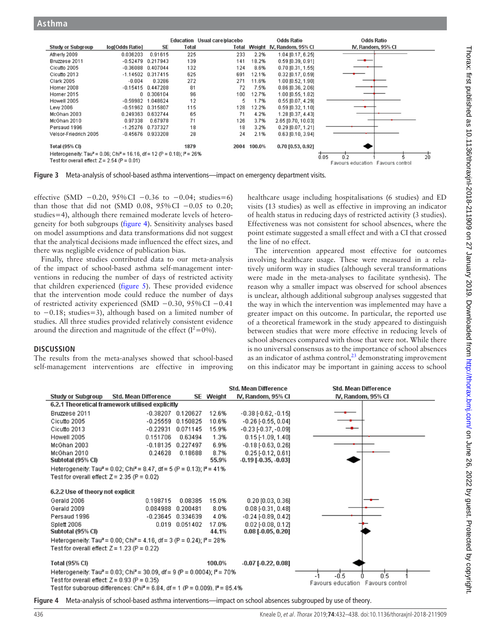| <b>Study or Subgroup</b>                                                                                   | log[Odds Ratio] | <b>SE</b>             | Total | Education Usual care/placebo<br>Total |                   | <b>Odds Ratio</b><br>Weight N, Random, 95% CI | <b>Odds Ratio</b><br>IV, Random, 95% CI |
|------------------------------------------------------------------------------------------------------------|-----------------|-----------------------|-------|---------------------------------------|-------------------|-----------------------------------------------|-----------------------------------------|
| Atherly 2009                                                                                               | 0.036203        | 0.91615               | 225   | 233                                   | 2.2%              | 1.04 [0.17, 6.25]                             |                                         |
| Bruzzese 2011                                                                                              | $-0.52479$      | 0.217943              | 139   | 141                                   | 18.2%             | $0.59$ [0.39, 0.91]                           |                                         |
| Cicutto 2005                                                                                               | $-0.36088$      | 0.407044              | 132   | 124                                   | 8.6%              | $0.70$ [0.31, 1.55]                           |                                         |
| Cicutto 2013                                                                                               |                 | $-1.14502$ 0.317415   | 625   | 691                                   | 12.1%             | $0.32$ [0.17, 0.59]                           |                                         |
| Clark 2005                                                                                                 | $-0.004$        | 0.3286                | 272   | 271                                   | 11.6%             | 1.00 [0.52, 1.90]                             |                                         |
| Horner 2008                                                                                                |                 | $-0.15415$ $0.447288$ | 81    | 72                                    | 7.5%              | $0.86$ [0.36, 2.06]                           |                                         |
| Horner 2015                                                                                                |                 | 0 0.306104            | 96    | 100                                   | 12.7%             | 1.00 [0.55, 1.82]                             |                                         |
| Howell 2005                                                                                                |                 | $-0.59982$ 1.048624   | 12    | 5                                     | 1.7%              | $0.55$ [0.07, 4.29]                           |                                         |
| Lew 2006                                                                                                   |                 | $-0.51962$ 0.315807   | 115   | 128                                   | 12.2%             | $0.59$ [0.32, 1.10]                           |                                         |
| McGhan 2003                                                                                                | 0.249363        | 0.632744              | 65    | 71                                    | 4.2%              | 1.28 [0.37, 4.43]                             |                                         |
| McGhan 2010                                                                                                | 0.97338         | 0.67978               | 71    | 126                                   | 3.7%              | 2.65 [0.70, 10.03]                            |                                         |
| Persaud 1996                                                                                               |                 | -1.25276 0.737327     | 18    | 18                                    | 3.2%              | $0.29$ [0.07, 1.21]                           |                                         |
| Velsor-Friedrich 2005                                                                                      |                 | $-0.45676$ 0.933208   | 28    | 24                                    | 2.1%              | $0.63$ [0.10, 3.94]                           |                                         |
| Total (95% CI)                                                                                             |                 |                       | 1879  | 2004                                  | 100.0%            | 0.70 [0.53, 0.92]                             |                                         |
| Heterogeneity: Tau <sup>2</sup> = 0.06; Chi <sup>2</sup> = 16.16, df = 12 (P = 0.18); l <sup>2</sup> = 26% |                 |                       |       |                                       | 20<br>0.05<br>0.2 |                                               |                                         |
| Test for overall effect: $Z = 2.54$ (P = 0.01)                                                             |                 |                       |       |                                       |                   |                                               | Favours control<br>Favours education    |

<span id="page-4-0"></span>**Figure 3** Meta-analysis of school-based asthma interventions—impact on emergency department visits.

effective (SMD  $-0.20$ , 95%CI  $-0.36$  to  $-0.04$ ; studies=6) than those that did not (SMD 0.08, 95%CI  $-0.05$  to 0.20; studies=4), although there remained moderate levels of heterogeneity for both subgroups [\(figure](#page-4-1) 4). Sensitivity analyses based on model assumptions and data transformations did not suggest that the analytical decisions made influenced the effect sizes, and there was negligible evidence of publication bias.

Finally, three studies contributed data to our meta-analysis of the impact of school-based asthma self-management interventions in reducing the number of days of restricted activity that children experienced ([figure](#page-5-0) 5). These provided evidence that the intervention mode could reduce the number of days of restricted activity experienced (SMD −0.30, 95%CI −0.41 to −0.18; studies=3), although based on a limited number of studies. All three studies provided relatively consistent evidence around the direction and magnitude of the effect  $(I^2=0\%)$ .

## **Discussion**

The results from the meta-analyses showed that school-based self-management interventions are effective in improving healthcare usage including hospitalisations (6 studies) and ED visits (13 studies) as well as effective in improving an indicator of health status in reducing days of restricted activity (3 studies). Effectiveness was not consistent for school absences, where the point estimate suggested a small effect and with a CI that crossed the line of no effect.

The intervention appeared most effective for outcomes involving healthcare usage. These were measured in a relatively uniform way in studies (although several transformations were made in the meta-analyses to facilitate synthesis). The reason why a smaller impact was observed for school absences is unclear, although additional subgroup analyses suggested that the way in which the intervention was implemented may have a greater impact on this outcome. In particular, the reported use of a theoretical framework in the study appeared to distinguish between studies that were more effective in reducing levels of school absences compared with those that were not. While there is no universal consensus as to the importance of school absences as an indicator of asthma control, $^{23}$  demonstrating improvement on this indicator may be important in gaining access to school

|                                                                                                   |                                                                                                | <b>Std. Mean Difference</b> |                          |                                                                                              | Std. Mean Difference                                       |  |  |
|---------------------------------------------------------------------------------------------------|------------------------------------------------------------------------------------------------|-----------------------------|--------------------------|----------------------------------------------------------------------------------------------|------------------------------------------------------------|--|--|
| <b>Study or Subgroup</b>                                                                          | <b>Std. Mean Difference</b>                                                                    |                             | SE Weight                | IV, Random, 95% CI                                                                           | IV, Random, 95% CI                                         |  |  |
| 6.2.1 Theoretical framework utilised explicitly                                                   |                                                                                                |                             |                          |                                                                                              |                                                            |  |  |
| Bruzzese 2011                                                                                     | $-0.38207$                                                                                     | 0.120627                    | 12.6%                    | $-0.38$ [ $-0.62$ , $-0.15$ ]                                                                |                                                            |  |  |
| Cicutto 2005                                                                                      | $-0.25559$                                                                                     | 0.150825                    | 10.6%                    | $-0.26$ [ $-0.55$ , $0.04$ ]                                                                 |                                                            |  |  |
| Cicutto 2013                                                                                      | $-0.22931$                                                                                     | 0.071145                    | 15.9%                    | $-0.23$ [ $-0.37, -0.09$ ]                                                                   |                                                            |  |  |
| Howell 2005                                                                                       | 0.151706                                                                                       | 0.63494                     | 1.3%                     | $0.15$ [-1.09, 1.40]                                                                         |                                                            |  |  |
| McGhan 2003                                                                                       |                                                                                                | $-0.18135$ 0.227497         | 6.9%                     | $-0.18[-0.63, 0.26]$                                                                         |                                                            |  |  |
| McGhan 2010                                                                                       | 0.24628                                                                                        | 0.18688                     | 8.7%                     | $0.25$ [-0.12, 0.61]                                                                         |                                                            |  |  |
| Subtotal (95% CI)                                                                                 |                                                                                                |                             |                          |                                                                                              |                                                            |  |  |
|                                                                                                   | Heterogeneity: Tau <sup>2</sup> = 0.02; Chi <sup>2</sup> = 8.47, df = 5 (P = 0.13); $P = 41\%$ |                             |                          |                                                                                              |                                                            |  |  |
| Test for overall effect: $Z = 2.35$ (P = 0.02)                                                    |                                                                                                |                             |                          |                                                                                              |                                                            |  |  |
|                                                                                                   |                                                                                                |                             |                          |                                                                                              |                                                            |  |  |
|                                                                                                   |                                                                                                |                             |                          |                                                                                              |                                                            |  |  |
| Gerald 2006                                                                                       | 0.198715                                                                                       | 0.08385                     | 15.0%                    | $0.20$ [0.03, 0.36]                                                                          |                                                            |  |  |
| Gerald 2009                                                                                       |                                                                                                | 0.084988 0.200481           | 8.0%                     | $0.08$ [ $-0.31$ , $0.48$ ]                                                                  |                                                            |  |  |
| Persaud 1996                                                                                      |                                                                                                | $-0.23645$ 0.334639         | 4.0%                     | $-0.24$ [ $-0.89$ , $0.42$ ]                                                                 |                                                            |  |  |
| Splett 2006                                                                                       |                                                                                                | 0.019 0.051402              | 17.0%                    | $0.02$ $[-0.08, 0.12]$                                                                       |                                                            |  |  |
|                                                                                                   |                                                                                                |                             |                          |                                                                                              |                                                            |  |  |
| Heterogeneity: Tau <sup>2</sup> = 0.00; Chi <sup>2</sup> = 4.16, df = 3 (P = 0.24); $P = 28\%$    |                                                                                                |                             |                          |                                                                                              |                                                            |  |  |
| Test for overall effect: $Z = 1.23$ (P = 0.22)                                                    |                                                                                                |                             |                          |                                                                                              |                                                            |  |  |
|                                                                                                   |                                                                                                |                             |                          |                                                                                              |                                                            |  |  |
|                                                                                                   |                                                                                                |                             |                          |                                                                                              |                                                            |  |  |
| Heterogeneity: Tau <sup>2</sup> = 0.03; Chi <sup>2</sup> = 30.09, df = 9 (P = 0.0004); $P = 70\%$ |                                                                                                |                             |                          |                                                                                              |                                                            |  |  |
| Test for overall effect: $Z = 0.93$ (P = 0.35)                                                    |                                                                                                |                             |                          |                                                                                              |                                                            |  |  |
|                                                                                                   | Test for subgroup differences: Chi <sup>2</sup> = 6.84, df = 1 (P = 0.009), $P = 85.4\%$       |                             |                          |                                                                                              |                                                            |  |  |
| 6.2.2 Use of theory not explicit<br>Subtotal (95% CI)<br><b>Total (95% CI)</b>                    |                                                                                                |                             | 55.9%<br>44.1%<br>100.0% | $-0.19$ [ $-0.35$ , $-0.03$ ]<br>$0.08$ [ $-0.05$ , $0.20$ ]<br>$-0.07$ [ $-0.22$ , $0.08$ ] | 0.5<br>$-0.5$<br>$-1$<br>Favours education Favours control |  |  |

<span id="page-4-1"></span>**Figure 4** Meta-analysis of school-based asthma interventions—impact on school absences subgrouped by use of theory.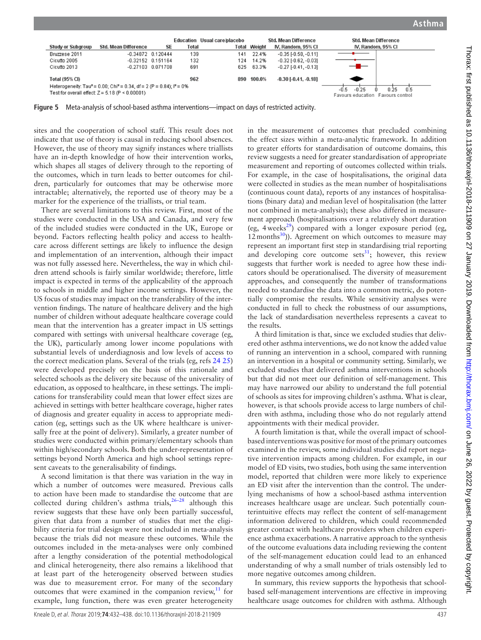

<span id="page-5-0"></span>**Figure 5** Meta-analysis of school-based asthma interventions—impact on days of restricted activity.

sites and the cooperation of school staff. This result does not indicate that use of theory is causal in reducing school absences. However, the use of theory may signify instances where triallists have an in-depth knowledge of how their intervention works, which shapes all stages of delivery through to the reporting of the outcomes, which in turn leads to better outcomes for children, particularly for outcomes that may be otherwise more intractable; alternatively, the reported use of theory may be a marker for the experience of the triallists, or trial team.

There are several limitations to this review. First, most of the studies were conducted in the USA and Canada, and very few of the included studies were conducted in the UK, Europe or beyond. Factors reflecting health policy and access to healthcare across different settings are likely to influence the design and implementation of an intervention, although their impact was not fully assessed here. Nevertheless, the way in which children attend schools is fairly similar worldwide; therefore, little impact is expected in terms of the applicability of the approach to schools in middle and higher income settings. However, the US focus of studies may impact on the transferability of the intervention findings. The nature of healthcare delivery and the high number of children without adequate healthcare coverage could mean that the intervention has a greater impact in US settings compared with settings with universal healthcare coverage (eg, the UK), particularly among lower income populations with substantial levels of underdiagnosis and low levels of access to the correct medication plans. Several of the trials (eg, refs [24 25\)](#page-6-21) were developed precisely on the basis of this rationale and selected schools as the delivery site because of the universality of education, as opposed to healthcare, in these settings. The implications for transferability could mean that lower effect sizes are achieved in settings with better healthcare coverage, higher rates of diagnosis and greater equality in access to appropriate medication (eg, settings such as the UK where healthcare is universally free at the point of delivery). Similarly, a greater number of studies were conducted within primary/elementary schools than within high/secondary schools. Both the under-representation of settings beyond North America and high school settings represent caveats to the generalisability of findings.

A second limitation is that there was variation in the way in which a number of outcomes were measured. Previous calls to action have been made to standardise the outcome that are collected during children's asthma trials, $26-28$  although this review suggests that these have only been partially successful, given that data from a number of studies that met the eligibility criteria for trial design were not included in meta-analysis because the trials did not measure these outcomes. While the outcomes included in the meta-analyses were only combined after a lengthy consideration of the potential methodological and clinical heterogeneity, there also remains a likelihood that at least part of the heterogeneity observed between studies was due to measurement error. For many of the secondary outcomes that were examined in the companion review, $11$  for example, lung function, there was even greater heterogeneity

in the measurement of outcomes that precluded combining the effect sizes within a meta-analytic framework. In addition to greater efforts for standardisation of outcome domains, this review suggests a need for greater standardisation of appropriate measurement and reporting of outcomes collected within trials. For example, in the case of hospitalisations, the original data were collected in studies as the mean number of hospitalisations (continuous count data), reports of any instances of hospitalisations (binary data) and median level of hospitalisation (the latter not combined in meta-analysis); these also differed in measurement approach (hospitalisations over a relatively short duration (eg,  $4 \text{ weeks}^{29}$  $4 \text{ weeks}^{29}$  $4 \text{ weeks}^{29}$ ) compared with a longer exposure period (eg,  $12$  months<sup>[30](#page-6-24)</sup>)). Agreement on which outcomes to measure may represent an important first step in standardising trial reporting and developing core outcome sets $^{31}$ ; however, this review suggests that further work is needed to agree how these indicators should be operationalised. The diversity of measurement approaches, and consequently the number of transformations needed to standardise the data into a common metric, do potentially compromise the results. While sensitivity analyses were conducted in full to check the robustness of our assumptions, the lack of standardisation nevertheless represents a caveat to the results.

A third limitation is that, since we excluded studies that delivered other asthma interventions, we do not know the added value of running an intervention in a school, compared with running an intervention in a hospital or community setting. Similarly, we excluded studies that delivered asthma interventions in schools but that did not meet our definition of self-management. This may have narrowed our ability to understand the full potential of schools as sites for improving children's asthma. What is clear, however, is that schools provide access to large numbers of children with asthma, including those who do not regularly attend appointments with their medical provider.

A fourth limitation is that, while the overall impact of schoolbased interventions was positive for most of the primary outcomes examined in the review, some individual studies did report negative intervention impacts among children. For example, in our model of ED visits, two studies, both using the same intervention model, reported that children were more likely to experience an ED visit after the intervention than the control. The underlying mechanisms of how a school-based asthma intervention increases healthcare usage are unclear. Such potentially counterintuitive effects may reflect the content of self-management information delivered to children, which could recommended greater contact with healthcare providers when children experience asthma exacerbations. A narrative approach to the synthesis of the outcome evaluations data including reviewing the content of the self-management education could lead to an enhanced understanding of why a small number of trials ostensibly led to more negative outcomes among children.

In summary, this review supports the hypothesis that schoolbased self-management interventions are effective in improving healthcare usage outcomes for children with asthma. Although